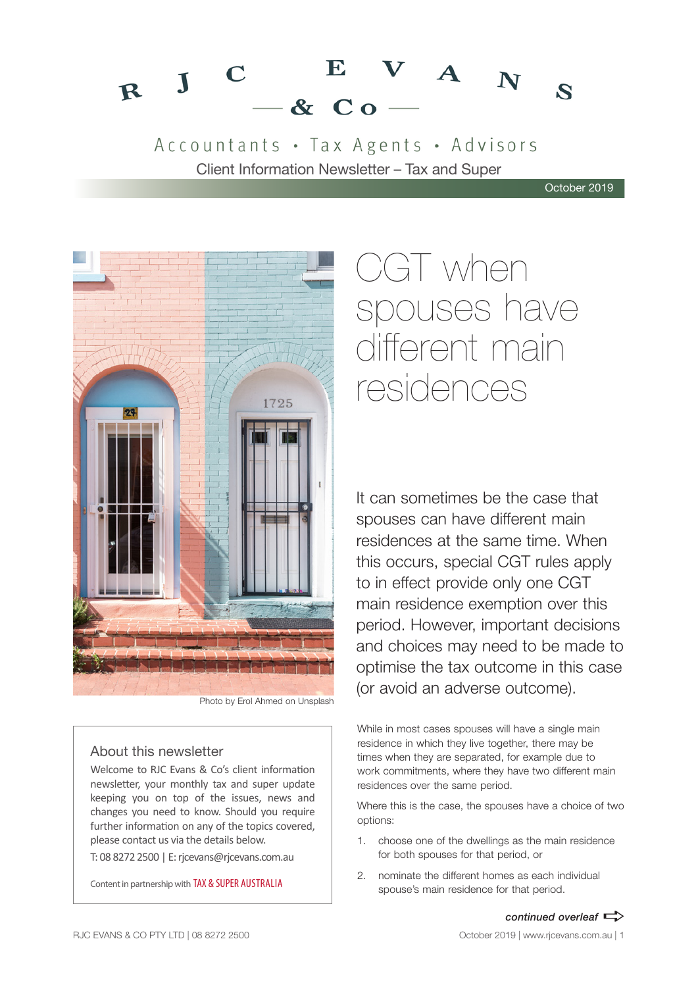#### $V$  A  $N$ E  $R$  J  $\mathbf C$  $\mathbf{z}$  $-8C<sub>0</sub>$

Accountants · Tax Agents · Advisors Client Information Newsletter – Tax and Super

October 2019



Photo by Erol Ahmed on Unsplash

### About this newsletter

Welcome to RJC Evans & Co's client information newsletter, your monthly tax and super update keeping you on top of the issues, news and changes you need to know. Should you require further information on any of the topics covered, please contact us via the details below.

T: 08 8272 2500 | E: rjcevans@rjcevans.com.au

Content in partnership with TAX & SUPER AUSTRALIA

# CGT when spouses have different main residences

It can sometimes be the case that spouses can have different main residences at the same time. When this occurs, special CGT rules apply to in effect provide only one CGT main residence exemption over this period. However, important decisions and choices may need to be made to optimise the tax outcome in this case (or avoid an adverse outcome).

While in most cases spouses will have a single main residence in which they live together, there may be times when they are separated, for example due to work commitments, where they have two different main residences over the same period.

Where this is the case, the spouses have a choice of two options:

- 1. choose one of the dwellings as the main residence for both spouses for that period, or
- 2. nominate the different homes as each individual spouse's main residence for that period.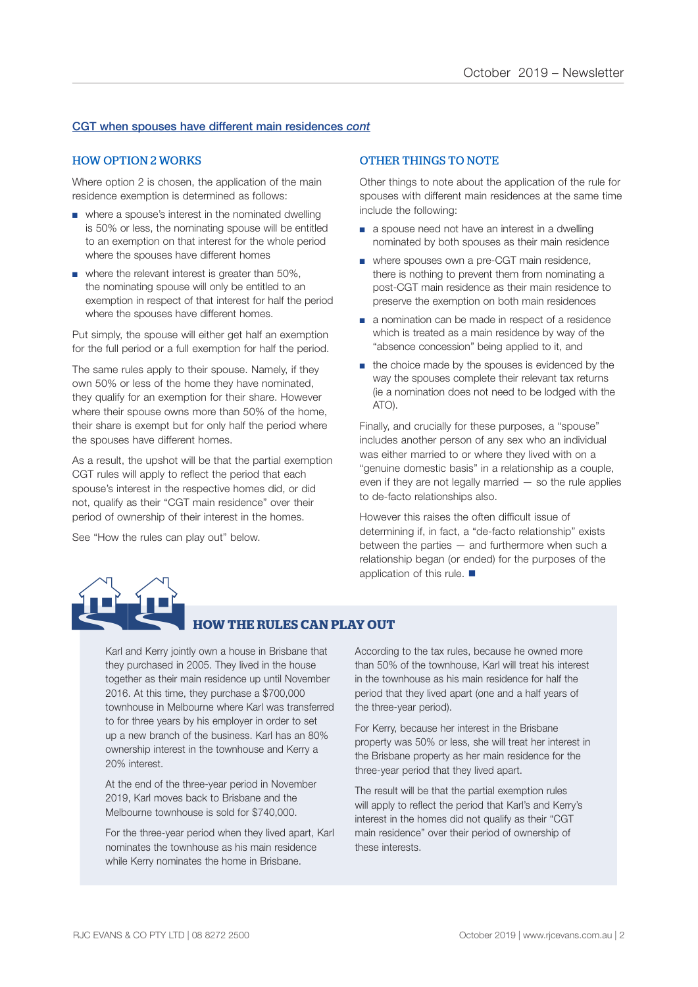### CGT when spouses have different main residences *cont*

### HOW OPTION 2 WORKS

Where option 2 is chosen, the application of the main residence exemption is determined as follows:

- where a spouse's interest in the nominated dwelling is 50% or less, the nominating spouse will be entitled to an exemption on that interest for the whole period where the spouses have different homes
- where the relevant interest is greater than 50%. the nominating spouse will only be entitled to an exemption in respect of that interest for half the period where the spouses have different homes.

Put simply, the spouse will either get half an exemption for the full period or a full exemption for half the period.

The same rules apply to their spouse. Namely, if they own 50% or less of the home they have nominated, they qualify for an exemption for their share. However where their spouse owns more than 50% of the home, their share is exempt but for only half the period where the spouses have different homes.

As a result, the upshot will be that the partial exemption CGT rules will apply to reflect the period that each spouse's interest in the respective homes did, or did not, qualify as their "CGT main residence" over their period of ownership of their interest in the homes.

See "How the rules can play out" below.

### OTHER THINGS TO NOTE

Other things to note about the application of the rule for spouses with different main residences at the same time include the following:

- a spouse need not have an interest in a dwelling nominated by both spouses as their main residence
- where spouses own a pre-CGT main residence, there is nothing to prevent them from nominating a post-CGT main residence as their main residence to preserve the exemption on both main residences
- a nomination can be made in respect of a residence which is treated as a main residence by way of the "absence concession" being applied to it, and
- the choice made by the spouses is evidenced by the way the spouses complete their relevant tax returns (ie a nomination does not need to be lodged with the ATO).

Finally, and crucially for these purposes, a "spouse" includes another person of any sex who an individual was either married to or where they lived with on a "genuine domestic basis" in a relationship as a couple, even if they are not legally married — so the rule applies to de-facto relationships also.

However this raises the often difficult issue of determining if, in fact, a "de-facto relationship" exists between the parties — and furthermore when such a relationship began (or ended) for the purposes of the application of this rule.  $\blacksquare$ 



### **HOW THE RULES CAN PLAY OUT**

Karl and Kerry jointly own a house in Brisbane that they purchased in 2005. They lived in the house together as their main residence up until November 2016. At this time, they purchase a \$700,000 townhouse in Melbourne where Karl was transferred to for three years by his employer in order to set up a new branch of the business. Karl has an 80% ownership interest in the townhouse and Kerry a 20% interest.

At the end of the three-year period in November 2019, Karl moves back to Brisbane and the Melbourne townhouse is sold for \$740,000.

For the three-year period when they lived apart, Karl nominates the townhouse as his main residence while Kerry nominates the home in Brisbane.

According to the tax rules, because he owned more than 50% of the townhouse, Karl will treat his interest in the townhouse as his main residence for half the period that they lived apart (one and a half years of the three-year period).

For Kerry, because her interest in the Brisbane property was 50% or less, she will treat her interest in the Brisbane property as her main residence for the three-year period that they lived apart.

The result will be that the partial exemption rules will apply to reflect the period that Karl's and Kerry's interest in the homes did not qualify as their "CGT main residence" over their period of ownership of these interests.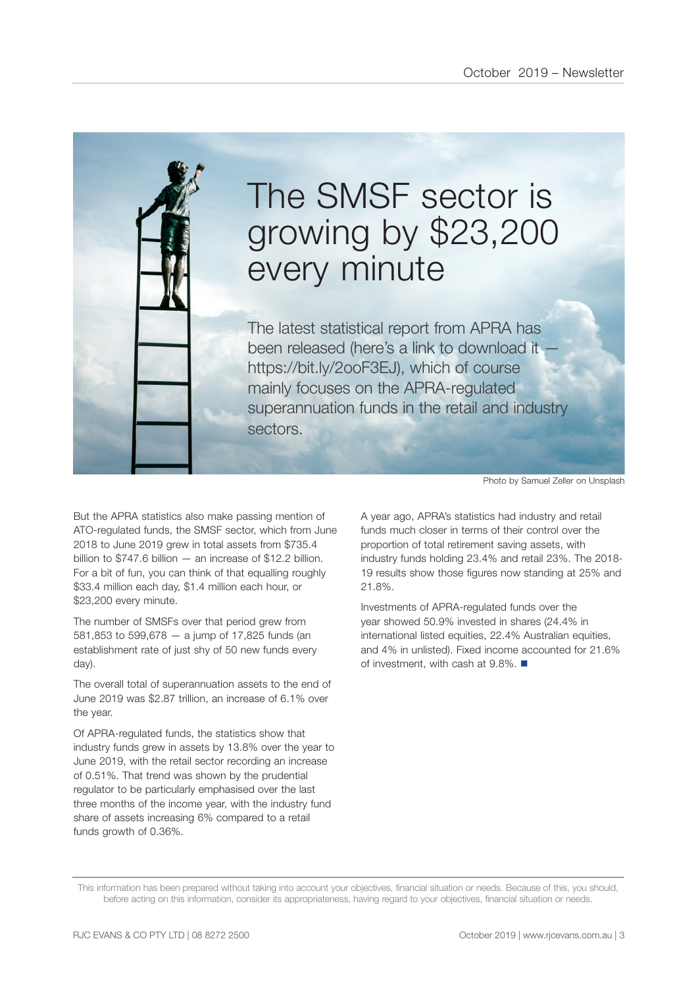

# The SMSF sector is growing by \$23,200 every minute

The latest statistical report from APRA has been released (here's a link to download it https://bit.ly/2ooF3EJ), which of course mainly focuses on the APRA-regulated superannuation funds in the retail and industry sectors.

But the APRA statistics also make passing mention of ATO-regulated funds, the SMSF sector, which from June 2018 to June 2019 grew in total assets from \$735.4 billion to \$747.6 billion — an increase of \$12.2 billion. For a bit of fun, you can think of that equalling roughly \$33.4 million each day, \$1.4 million each hour, or \$23,200 every minute.

The number of SMSFs over that period grew from 581,853 to 599,678 — a jump of 17,825 funds (an establishment rate of just shy of 50 new funds every day).

The overall total of superannuation assets to the end of June 2019 was \$2.87 trillion, an increase of 6.1% over the year.

Of APRA-regulated funds, the statistics show that industry funds grew in assets by 13.8% over the year to June 2019, with the retail sector recording an increase of 0.51%. That trend was shown by the prudential regulator to be particularly emphasised over the last three months of the income year, with the industry fund share of assets increasing 6% compared to a retail funds growth of 0.36%.

Photo by Samuel Zeller on Unsplash

A year ago, APRA's statistics had industry and retail funds much closer in terms of their control over the proportion of total retirement saving assets, with industry funds holding 23.4% and retail 23%. The 2018- 19 results show those figures now standing at 25% and 21.8%.

Investments of APRA-regulated funds over the year showed 50.9% invested in shares (24.4% in international listed equities, 22.4% Australian equities, and 4% in unlisted). Fixed income accounted for 21.6% of investment, with cash at  $9.8\%$ .

This information has been prepared without taking into account your objectives, financial situation or needs. Because of this, you should, before acting on this information, consider its appropriateness, having regard to your objectives, financial situation or needs.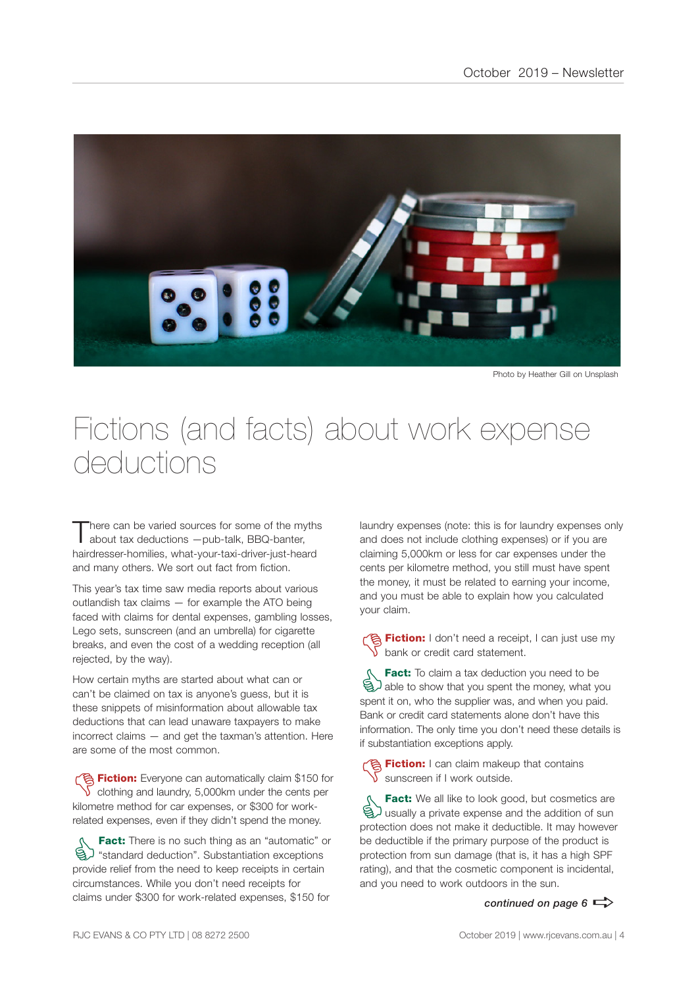

Photo by Heather Gill on Unsplash

### Fictions (and facts) about work expense deductions

here can be varied sources for some of the myths about tax deductions —pub-talk, BBQ-banter, hairdresser-homilies, what-your-taxi-driver-just-heard and many others. We sort out fact from fiction.

This year's tax time saw media reports about various outlandish tax claims — for example the ATO being faced with claims for dental expenses, gambling losses, Lego sets, sunscreen (and an umbrella) for cigarette breaks, and even the cost of a wedding reception (all rejected, by the way).

How certain myths are started about what can or can't be claimed on tax is anyone's guess, but it is these snippets of misinformation about allowable tax deductions that can lead unaware taxpayers to make incorrect claims — and get the taxman's attention. Here are some of the most common.

**Fiction:** Everyone can automatically claim \$150 for  $\sqrt{\ }$  clothing and laundry, 5,000km under the cents per kilometre method for car expenses, or \$300 for workrelated expenses, even if they didn't spend the money.

**Fact:** There is no such thing as an "automatic" or<br>  $\bigotimes$  "standard deduction". Substantiation exceptions<br>
provide relief from the need to keep receipts in certain "standard deduction". Substantiation exceptions provide relief from the need to keep receipts in certain circumstances. While you don't need receipts for claims under \$300 for work-related expenses, \$150 for

laundry expenses (note: this is for laundry expenses only and does not include clothing expenses) or if you are claiming 5,000km or less for car expenses under the cents per kilometre method, you still must have spent the money, it must be related to earning your income, and you must be able to explain how you calculated your claim.

**Contain:** I don't need a receipt, I can just use my bank or credit card statement.

**Fact:** To claim a tax deduction you need to be<br>able to show that you spent the money, what you spent it on who the supplier was and when you paid able to show that you spent the money, what you spent it on, who the supplier was, and when you paid. Bank or credit card statements alone don't have this information. The only time you don't need these details is if substantiation exceptions apply.

**名 Fiction:** I can claim makeup that contains sunscreen if I work outside.

**Fact:** We all like to look good, but cosmetics are<br> **ED** usually a private expense and the addition of sun<br>
protection does not make it deductible. It may however usually a private expense and the addition of sun protection does not make it deductible. It may however be deductible if the primary purpose of the product is protection from sun damage (that is, it has a high SPF rating), and that the cosmetic component is incidental, and you need to work outdoors in the sun.

```
continued on page 6 \Rightarrow
```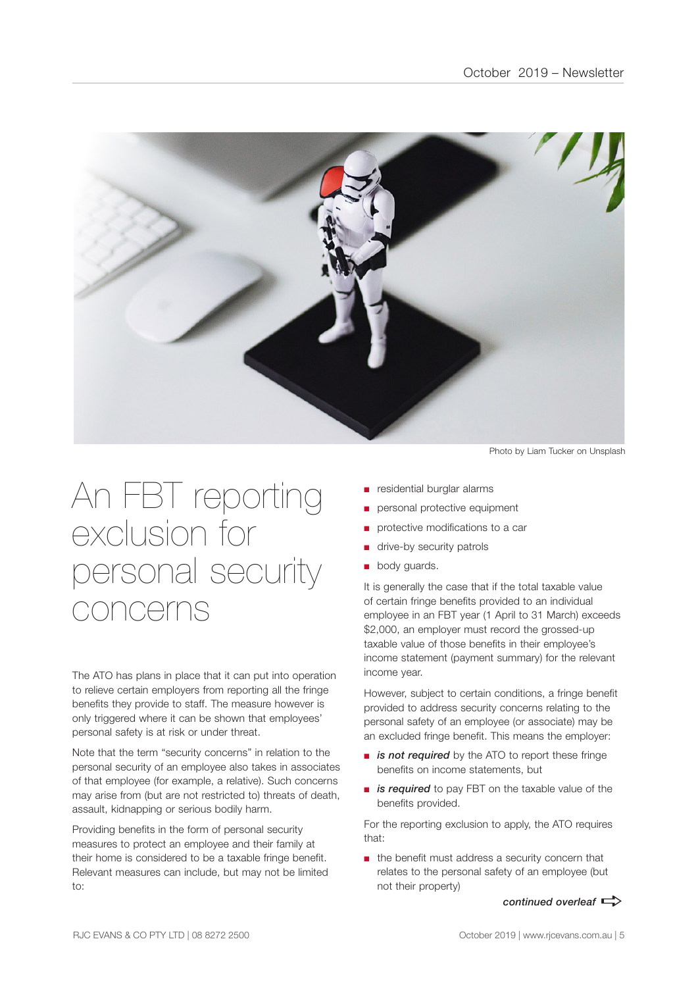

## An FBT reporting exclusion for personal security concerns

The ATO has plans in place that it can put into operation to relieve certain employers from reporting all the fringe benefits they provide to staff. The measure however is only triggered where it can be shown that employees' personal safety is at risk or under threat.

Note that the term "security concerns" in relation to the personal security of an employee also takes in associates of that employee (for example, a relative). Such concerns may arise from (but are not restricted to) threats of death, assault, kidnapping or serious bodily harm.

Providing benefits in the form of personal security measures to protect an employee and their family at their home is considered to be a taxable fringe benefit. Relevant measures can include, but may not be limited to:

Photo by Liam Tucker on Unsplash

- residential burglar alarms
- personal protective equipment
- protective modifications to a car
- drive-by security patrols
- body guards.

It is generally the case that if the total taxable value of certain fringe benefits provided to an individual employee in an FBT year (1 April to 31 March) exceeds \$2,000, an employer must record the grossed-up taxable value of those benefits in their employee's income statement (payment summary) for the relevant income year.

However, subject to certain conditions, a fringe benefit provided to address security concerns relating to the personal safety of an employee (or associate) may be an excluded fringe benefit. This means the employer:

- *is not required* by the ATO to report these fringe benefits on income statements, but
- *is required* to pay FBT on the taxable value of the benefits provided.

For the reporting exclusion to apply, the ATO requires that:

■ the benefit must address a security concern that relates to the personal safety of an employee (but not their property)

*continued overleaf*  $\Rightarrow$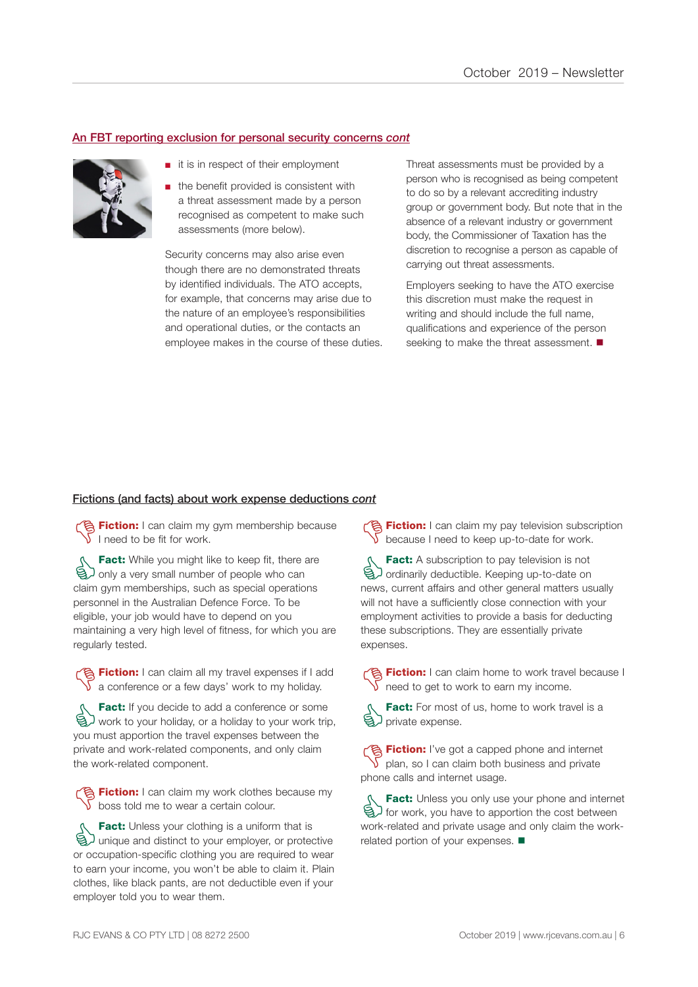### An FBT reporting exclusion for personal security concerns *cont*



- it is in respect of their employment
- the benefit provided is consistent with a threat assessment made by a person recognised as competent to make such assessments (more below).

Security concerns may also arise even though there are no demonstrated threats by identified individuals. The ATO accepts, for example, that concerns may arise due to the nature of an employee's responsibilities and operational duties, or the contacts an employee makes in the course of these duties. Threat assessments must be provided by a person who is recognised as being competent to do so by a relevant accrediting industry group or government body. But note that in the absence of a relevant industry or government body, the Commissioner of Taxation has the discretion to recognise a person as capable of carrying out threat assessments.

Employers seeking to have the ATO exercise this discretion must make the request in writing and should include the full name, qualifications and experience of the person seeking to make the threat assessment.  $\blacksquare$ 

### Fictions (and facts) about work expense deductions *cont*

**The Fiction:** I can claim my gym membership because I need to be fit for work.

**Fact:** While you might like to keep fit, there are<br>
and only a very small number of people who can<br>
claim own memberships such as special operations only a very small number of people who can claim gym memberships, such as special operations personnel in the Australian Defence Force. To be eligible, your job would have to depend on you maintaining a very high level of fitness, for which you are regularly tested.

**Fiction:** I can claim all my travel expenses if I add  $\sqrt{\ }$  a conference or a few days' work to my holiday.

**Fact:** If you decide to add a conference or some<br>  $\bigotimes$  work to your holiday, or a holiday to your work trip<br>
you must apportion the travel expenses between the work to your holiday, or a holiday to your work trip, you must apportion the travel expenses between the private and work-related components, and only claim the work-related component.

Fiction: I can claim my work clothes because my  $\sqrt{\ }$  boss told me to wear a certain colour.

**Fact:** Unless your clothing is a uniform that is<br>
a unique and distinct to your employer, or protection<br>
or occupation-specific clothing you are required to your unique and distinct to your employer, or protective or occupation-specific clothing you are required to wear to earn your income, you won't be able to claim it. Plain clothes, like black pants, are not deductible even if your employer told you to wear them.

**Fiction:** I can claim my pay television subscription because I need to keep up-to-date for work.

**Fact:** A subscription to pay television is not<br> **G** ordinarily deductible. Keeping up-to-date on<br>
news current affairs and other general matters us ordinarily deductible. Keeping up-to-date on news, current affairs and other general matters usually will not have a sufficiently close connection with your employment activities to provide a basis for deducting these subscriptions. They are essentially private expenses.

Fiction: I can claim home to work travel because I  $\sqrt{\ }$  need to get to work to earn my income.

Fact: For most of us, home to work travel is a brivate expense.

**Fiction:** I've got a capped phone and internet plan, so I can claim both business and private phone calls and internet usage.

**Fact:** Unless you only use your phone and internet<br>  $\bigotimes$  for work, you have to apportion the cost between<br>
Work-related and private usage and only claim the workfor work, you have to apportion the cost between work-related and private usage and only claim the workrelated portion of your expenses.  $\blacksquare$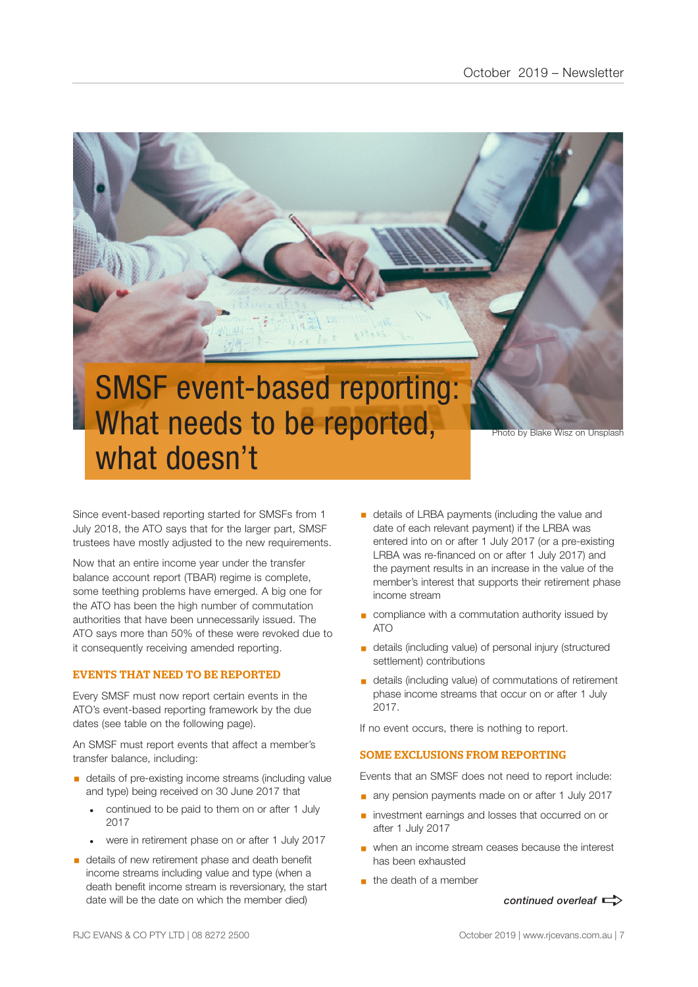

Since event-based reporting started for SMSFs from 1 July 2018, the ATO says that for the larger part, SMSF trustees have mostly adjusted to the new requirements.

Now that an entire income year under the transfer balance account report (TBAR) regime is complete, some teething problems have emerged. A big one for the ATO has been the high number of commutation authorities that have been unnecessarily issued. The ATO says more than 50% of these were revoked due to it consequently receiving amended reporting.

### EVENTS THAT NEED TO BE REPORTED

Every SMSF must now report certain events in the ATO's event-based reporting framework by the due dates (see table on the following page).

An SMSF must report events that affect a member's transfer balance, including:

- details of pre-existing income streams (including value and type) being received on 30 June 2017 that
	- continued to be paid to them on or after 1 July 2017
	- were in retirement phase on or after 1 July 2017
- details of new retirement phase and death benefit income streams including value and type (when a death benefit income stream is reversionary, the start date will be the date on which the member died)
- **•** details of LRBA payments (including the value and date of each relevant payment) if the LRBA was entered into on or after 1 July 2017 (or a pre-existing LRBA was re-financed on or after 1 July 2017) and the payment results in an increase in the value of the member's interest that supports their retirement phase income stream
- compliance with a commutation authority issued by ATO
- details (including value) of personal injury (structured settlement) contributions
- details (including value) of commutations of retirement phase income streams that occur on or after 1 July 2017.

If no event occurs, there is nothing to report.

### SOME EXCLUSIONS FROM REPORTING

Events that an SMSF does not need to report include:

- any pension payments made on or after 1 July 2017
- investment earnings and losses that occurred on or after 1 July 2017
- when an income stream ceases because the interest has been exhausted
- $\blacksquare$  the death of a member

*continued overleaf*  $\Rightarrow$